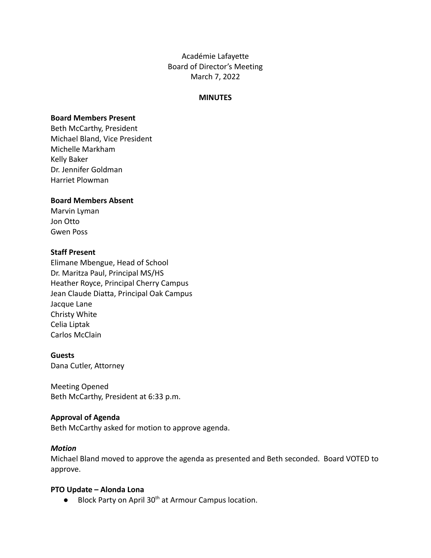Académie Lafayette Board of Director's Meeting March 7, 2022

#### **MINUTES**

### **Board Members Present**

Beth McCarthy, President Michael Bland, Vice President Michelle Markham Kelly Baker Dr. Jennifer Goldman Harriet Plowman

### **Board Members Absent**

Marvin Lyman Jon Otto Gwen Poss

### **Staff Present**

Elimane Mbengue, Head of School Dr. Maritza Paul, Principal MS/HS Heather Royce, Principal Cherry Campus Jean Claude Diatta, Principal Oak Campus Jacque Lane Christy White Celia Liptak Carlos McClain

### **Guests**

Dana Cutler, Attorney

Meeting Opened Beth McCarthy, President at 6:33 p.m.

### **Approval of Agenda**

Beth McCarthy asked for motion to approve agenda.

### *Motion*

Michael Bland moved to approve the agenda as presented and Beth seconded. Board VOTED to approve.

### **PTO Update – Alonda Lona**

● Block Party on April 30<sup>th</sup> at Armour Campus location.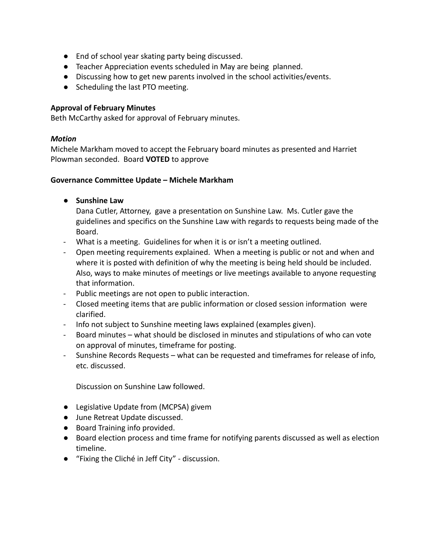- End of school year skating party being discussed.
- Teacher Appreciation events scheduled in May are being planned.
- Discussing how to get new parents involved in the school activities/events.
- Scheduling the last PTO meeting.

# **Approval of February Minutes**

Beth McCarthy asked for approval of February minutes.

## *Motion*

Michele Markham moved to accept the February board minutes as presented and Harriet Plowman seconded. Board **VOTED** to approve

## **Governance Committee Update – Michele Markham**

**● Sunshine Law**

Dana Cutler, Attorney, gave a presentation on Sunshine Law. Ms. Cutler gave the guidelines and specifics on the Sunshine Law with regards to requests being made of the Board.

- What is a meeting. Guidelines for when it is or isn't a meeting outlined.
- Open meeting requirements explained. When a meeting is public or not and when and where it is posted with definition of why the meeting is being held should be included. Also, ways to make minutes of meetings or live meetings available to anyone requesting that information.
- Public meetings are not open to public interaction.
- Closed meeting items that are public information or closed session information were clarified.
- Info not subject to Sunshine meeting laws explained (examples given).
- Board minutes what should be disclosed in minutes and stipulations of who can vote on approval of minutes, timeframe for posting.
- Sunshine Records Requests what can be requested and timeframes for release of info, etc. discussed.

Discussion on Sunshine Law followed.

- Legislative Update from (MCPSA) givem
- June Retreat Update discussed.
- Board Training info provided.
- Board election process and time frame for notifying parents discussed as well as election timeline.
- "Fixing the Cliché in Jeff City" discussion.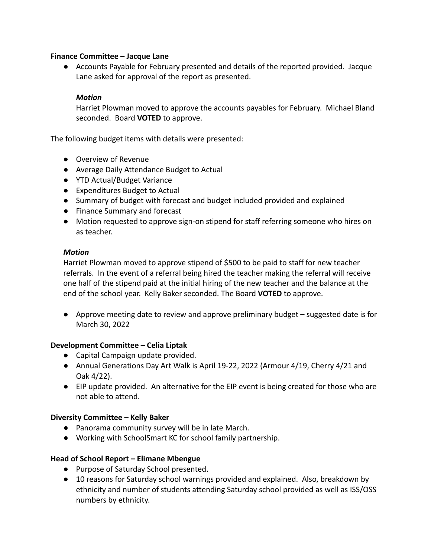## **Finance Committee – Jacque Lane**

● Accounts Payable for February presented and details of the reported provided. Jacque Lane asked for approval of the report as presented.

# *Motion*

Harriet Plowman moved to approve the accounts payables for February. Michael Bland seconded. Board **VOTED** to approve.

The following budget items with details were presented:

- Overview of Revenue
- Average Daily Attendance Budget to Actual
- YTD Actual/Budget Variance
- Expenditures Budget to Actual
- Summary of budget with forecast and budget included provided and explained
- Finance Summary and forecast
- Motion requested to approve sign-on stipend for staff referring someone who hires on as teacher.

## *Motion*

Harriet Plowman moved to approve stipend of \$500 to be paid to staff for new teacher referrals. In the event of a referral being hired the teacher making the referral will receive one half of the stipend paid at the initial hiring of the new teacher and the balance at the end of the school year. Kelly Baker seconded. The Board **VOTED** to approve.

● Approve meeting date to review and approve preliminary budget – suggested date is for March 30, 2022

## **Development Committee – Celia Liptak**

- Capital Campaign update provided.
- Annual Generations Day Art Walk is April 19-22, 2022 (Armour 4/19, Cherry 4/21 and Oak 4/22).
- EIP update provided. An alternative for the EIP event is being created for those who are not able to attend.

## **Diversity Committee – Kelly Baker**

- Panorama community survey will be in late March.
- Working with SchoolSmart KC for school family partnership.

## **Head of School Report – Elimane Mbengue**

- Purpose of Saturday School presented.
- 10 reasons for Saturday school warnings provided and explained. Also, breakdown by ethnicity and number of students attending Saturday school provided as well as ISS/OSS numbers by ethnicity.